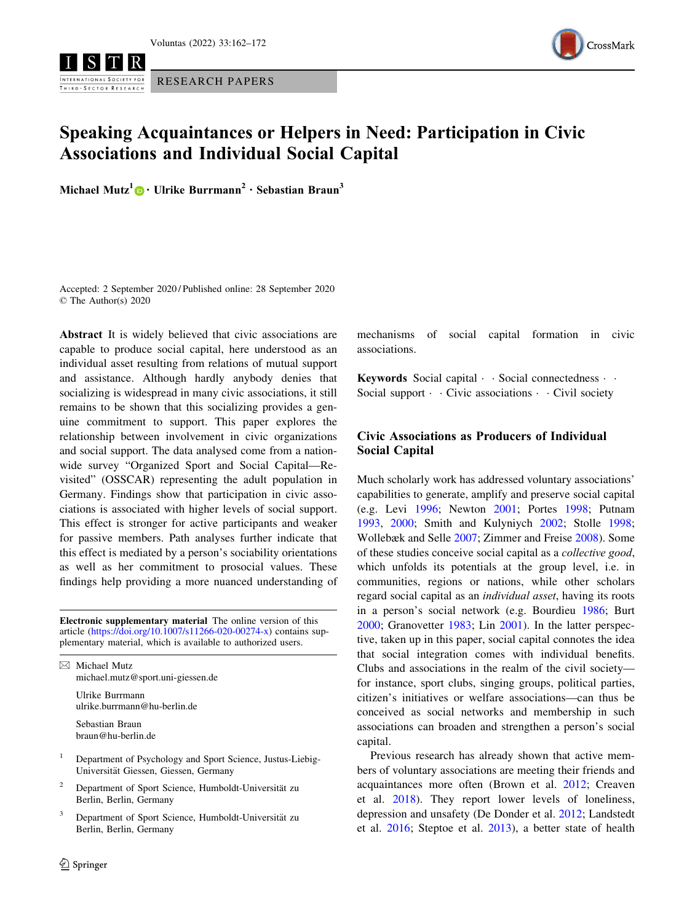INTERNATIONAL SOCIETY FOR THIRD - SECTOR RESEARCH

RESEARCH PAPERS



# Speaking Acquaintances or Helpers in Need: Participation in Civic Associations and Individual Social Capital

Michael Mutz<sup>1</sup>  $\mathbf{D} \cdot$  Ulrike Burrmann<sup>2</sup>  $\cdot$  Sebastian Braun<sup>3</sup>

Accepted: 2 September 2020 / Published online: 28 September 2020 © The Author(s) 2020

Abstract It is widely believed that civic associations are capable to produce social capital, here understood as an individual asset resulting from relations of mutual support and assistance. Although hardly anybody denies that socializing is widespread in many civic associations, it still remains to be shown that this socializing provides a genuine commitment to support. This paper explores the relationship between involvement in civic organizations and social support. The data analysed come from a nationwide survey "Organized Sport and Social Capital—Revisited" (OSSCAR) representing the adult population in Germany. Findings show that participation in civic associations is associated with higher levels of social support. This effect is stronger for active participants and weaker for passive members. Path analyses further indicate that this effect is mediated by a person's sociability orientations as well as her commitment to prosocial values. These findings help providing a more nuanced understanding of

Electronic supplementary material The online version of this article [\(https://doi.org/10.1007/s11266-020-00274-x](https://doi.org/10.1007/s11266-020-00274-x)) contains supplementary material, which is available to authorized users.

 $\boxtimes$  Michael Mutz michael.mutz@sport.uni-giessen.de Ulrike Burrmann ulrike.burrmann@hu-berlin.de

> Sebastian Braun braun@hu-berlin.de

- <sup>1</sup> Department of Psychology and Sport Science, Justus-Liebig-Universität Giessen, Giessen, Germany
- Department of Sport Science, Humboldt-Universität zu Berlin, Berlin, Germany
- Department of Sport Science, Humboldt-Universität zu Berlin, Berlin, Germany

mechanisms of social capital formation in civic associations.

Keywords Social capital · · Social connectedness · · Social support · · Civic associations · · Civil society

# Civic Associations as Producers of Individual Social Capital

Much scholarly work has addressed voluntary associations' capabilities to generate, amplify and preserve social capital (e.g. Levi [1996;](#page-10-0) Newton [2001](#page-10-0); Portes [1998](#page-10-0); Putnam [1993](#page-10-0), [2000;](#page-10-0) Smith and Kulyniych [2002;](#page-10-0) Stolle [1998](#page-10-0); Wollebӕk and Selle [2007](#page-10-0); Zimmer and Freise [2008](#page-10-0)). Some of these studies conceive social capital as a collective good, which unfolds its potentials at the group level, i.e. in communities, regions or nations, while other scholars regard social capital as an individual asset, having its roots in a person's social network (e.g. Bourdieu [1986;](#page-9-0) Burt [2000](#page-9-0); Granovetter [1983](#page-9-0); Lin [2001](#page-10-0)). In the latter perspective, taken up in this paper, social capital connotes the idea that social integration comes with individual benefits. Clubs and associations in the realm of the civil society for instance, sport clubs, singing groups, political parties, citizen's initiatives or welfare associations—can thus be conceived as social networks and membership in such associations can broaden and strengthen a person's social capital.

Previous research has already shown that active members of voluntary associations are meeting their friends and acquaintances more often (Brown et al. [2012;](#page-9-0) Creaven et al. [2018\)](#page-9-0). They report lower levels of loneliness, depression and unsafety (De Donder et al. [2012](#page-9-0); Landstedt et al. [2016;](#page-9-0) Steptoe et al. [2013\)](#page-10-0), a better state of health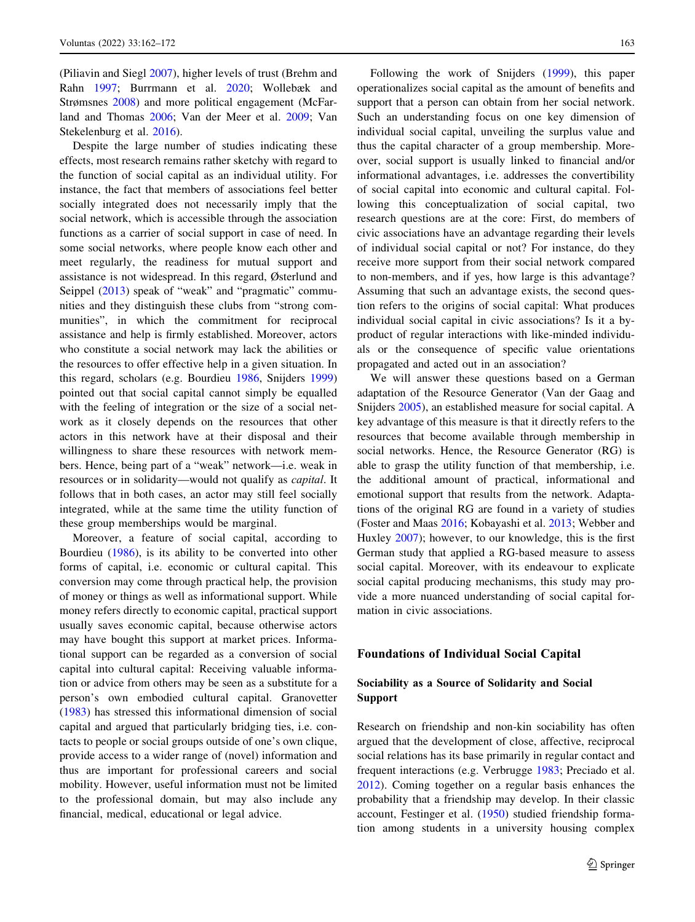(Piliavin and Siegl [2007](#page-10-0)), higher levels of trust (Brehm and Rahn [1997](#page-9-0); Burrmann et al. [2020](#page-9-0); Wollebæk and Strømsnes [2008\)](#page-10-0) and more political engagement (McFarland and Thomas [2006](#page-10-0); Van der Meer et al. [2009](#page-10-0); Van Stekelenburg et al. [2016\)](#page-10-0).

Despite the large number of studies indicating these effects, most research remains rather sketchy with regard to the function of social capital as an individual utility. For instance, the fact that members of associations feel better socially integrated does not necessarily imply that the social network, which is accessible through the association functions as a carrier of social support in case of need. In some social networks, where people know each other and meet regularly, the readiness for mutual support and assistance is not widespread. In this regard, Østerlund and Seippel ([2013\)](#page-10-0) speak of "weak" and "pragmatic" communities and they distinguish these clubs from "strong communities", in which the commitment for reciprocal assistance and help is firmly established. Moreover, actors who constitute a social network may lack the abilities or the resources to offer effective help in a given situation. In this regard, scholars (e.g. Bourdieu [1986](#page-9-0), Snijders [1999\)](#page-10-0) pointed out that social capital cannot simply be equalled with the feeling of integration or the size of a social network as it closely depends on the resources that other actors in this network have at their disposal and their willingness to share these resources with network members. Hence, being part of a "weak" network—i.e. weak in resources or in solidarity—would not qualify as capital. It follows that in both cases, an actor may still feel socially integrated, while at the same time the utility function of these group memberships would be marginal.

Moreover, a feature of social capital, according to Bourdieu ([1986\)](#page-9-0), is its ability to be converted into other forms of capital, i.e. economic or cultural capital. This conversion may come through practical help, the provision of money or things as well as informational support. While money refers directly to economic capital, practical support usually saves economic capital, because otherwise actors may have bought this support at market prices. Informational support can be regarded as a conversion of social capital into cultural capital: Receiving valuable information or advice from others may be seen as a substitute for a person's own embodied cultural capital. Granovetter [\(1983](#page-9-0)) has stressed this informational dimension of social capital and argued that particularly bridging ties, i.e. contacts to people or social groups outside of one's own clique, provide access to a wider range of (novel) information and thus are important for professional careers and social mobility. However, useful information must not be limited to the professional domain, but may also include any financial, medical, educational or legal advice.

Following the work of Snijders ([1999\)](#page-10-0), this paper operationalizes social capital as the amount of benefits and support that a person can obtain from her social network. Such an understanding focus on one key dimension of individual social capital, unveiling the surplus value and thus the capital character of a group membership. Moreover, social support is usually linked to financial and/or informational advantages, i.e. addresses the convertibility of social capital into economic and cultural capital. Following this conceptualization of social capital, two research questions are at the core: First, do members of civic associations have an advantage regarding their levels of individual social capital or not? For instance, do they receive more support from their social network compared to non-members, and if yes, how large is this advantage? Assuming that such an advantage exists, the second question refers to the origins of social capital: What produces individual social capital in civic associations? Is it a byproduct of regular interactions with like-minded individuals or the consequence of specific value orientations propagated and acted out in an association?

We will answer these questions based on a German adaptation of the Resource Generator (Van der Gaag and Snijders [2005](#page-10-0)), an established measure for social capital. A key advantage of this measure is that it directly refers to the resources that become available through membership in social networks. Hence, the Resource Generator (RG) is able to grasp the utility function of that membership, i.e. the additional amount of practical, informational and emotional support that results from the network. Adaptations of the original RG are found in a variety of studies (Foster and Maas [2016;](#page-9-0) Kobayashi et al. [2013](#page-9-0); Webber and Huxley [2007\)](#page-10-0); however, to our knowledge, this is the first German study that applied a RG-based measure to assess social capital. Moreover, with its endeavour to explicate social capital producing mechanisms, this study may provide a more nuanced understanding of social capital formation in civic associations.

#### Foundations of Individual Social Capital

## Sociability as a Source of Solidarity and Social Support

Research on friendship and non-kin sociability has often argued that the development of close, affective, reciprocal social relations has its base primarily in regular contact and frequent interactions (e.g. Verbrugge [1983;](#page-10-0) Preciado et al. [2012](#page-10-0)). Coming together on a regular basis enhances the probability that a friendship may develop. In their classic account, Festinger et al. ([1950\)](#page-9-0) studied friendship formation among students in a university housing complex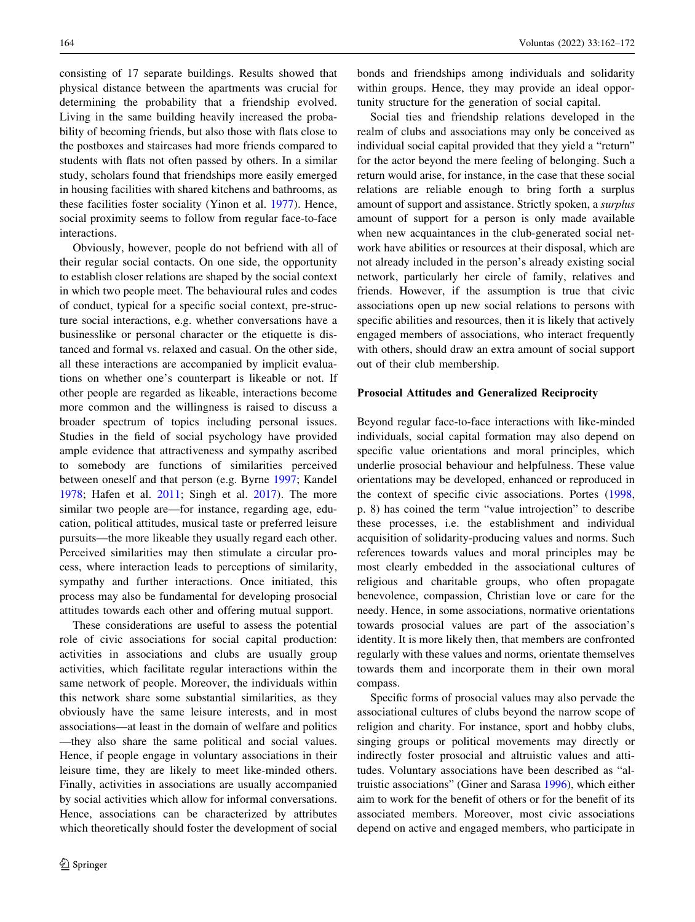consisting of 17 separate buildings. Results showed that physical distance between the apartments was crucial for determining the probability that a friendship evolved. Living in the same building heavily increased the probability of becoming friends, but also those with flats close to the postboxes and staircases had more friends compared to students with flats not often passed by others. In a similar study, scholars found that friendships more easily emerged in housing facilities with shared kitchens and bathrooms, as these facilities foster sociality (Yinon et al. [1977\)](#page-10-0). Hence, social proximity seems to follow from regular face-to-face interactions.

Obviously, however, people do not befriend with all of their regular social contacts. On one side, the opportunity to establish closer relations are shaped by the social context in which two people meet. The behavioural rules and codes of conduct, typical for a specific social context, pre-structure social interactions, e.g. whether conversations have a businesslike or personal character or the etiquette is distanced and formal vs. relaxed and casual. On the other side, all these interactions are accompanied by implicit evaluations on whether one's counterpart is likeable or not. If other people are regarded as likeable, interactions become more common and the willingness is raised to discuss a broader spectrum of topics including personal issues. Studies in the field of social psychology have provided ample evidence that attractiveness and sympathy ascribed to somebody are functions of similarities perceived between oneself and that person (e.g. Byrne [1997](#page-9-0); Kandel [1978;](#page-9-0) Hafen et al. [2011;](#page-9-0) Singh et al. [2017](#page-10-0)). The more similar two people are—for instance, regarding age, education, political attitudes, musical taste or preferred leisure pursuits—the more likeable they usually regard each other. Perceived similarities may then stimulate a circular process, where interaction leads to perceptions of similarity, sympathy and further interactions. Once initiated, this process may also be fundamental for developing prosocial attitudes towards each other and offering mutual support.

These considerations are useful to assess the potential role of civic associations for social capital production: activities in associations and clubs are usually group activities, which facilitate regular interactions within the same network of people. Moreover, the individuals within this network share some substantial similarities, as they obviously have the same leisure interests, and in most associations—at least in the domain of welfare and politics —they also share the same political and social values. Hence, if people engage in voluntary associations in their leisure time, they are likely to meet like-minded others. Finally, activities in associations are usually accompanied by social activities which allow for informal conversations. Hence, associations can be characterized by attributes which theoretically should foster the development of social bonds and friendships among individuals and solidarity within groups. Hence, they may provide an ideal opportunity structure for the generation of social capital.

Social ties and friendship relations developed in the realm of clubs and associations may only be conceived as individual social capital provided that they yield a "return" for the actor beyond the mere feeling of belonging. Such a return would arise, for instance, in the case that these social relations are reliable enough to bring forth a surplus amount of support and assistance. Strictly spoken, a surplus amount of support for a person is only made available when new acquaintances in the club-generated social network have abilities or resources at their disposal, which are not already included in the person's already existing social network, particularly her circle of family, relatives and friends. However, if the assumption is true that civic associations open up new social relations to persons with specific abilities and resources, then it is likely that actively engaged members of associations, who interact frequently with others, should draw an extra amount of social support out of their club membership.

### Prosocial Attitudes and Generalized Reciprocity

Beyond regular face-to-face interactions with like-minded individuals, social capital formation may also depend on specific value orientations and moral principles, which underlie prosocial behaviour and helpfulness. These value orientations may be developed, enhanced or reproduced in the context of specific civic associations. Portes ([1998,](#page-10-0) p. 8) has coined the term "value introjection" to describe these processes, i.e. the establishment and individual acquisition of solidarity-producing values and norms. Such references towards values and moral principles may be most clearly embedded in the associational cultures of religious and charitable groups, who often propagate benevolence, compassion, Christian love or care for the needy. Hence, in some associations, normative orientations towards prosocial values are part of the association's identity. It is more likely then, that members are confronted regularly with these values and norms, orientate themselves towards them and incorporate them in their own moral compass.

Specific forms of prosocial values may also pervade the associational cultures of clubs beyond the narrow scope of religion and charity. For instance, sport and hobby clubs, singing groups or political movements may directly or indirectly foster prosocial and altruistic values and attitudes. Voluntary associations have been described as "altruistic associations" (Giner and Sarasa [1996](#page-9-0)), which either aim to work for the benefit of others or for the benefit of its associated members. Moreover, most civic associations depend on active and engaged members, who participate in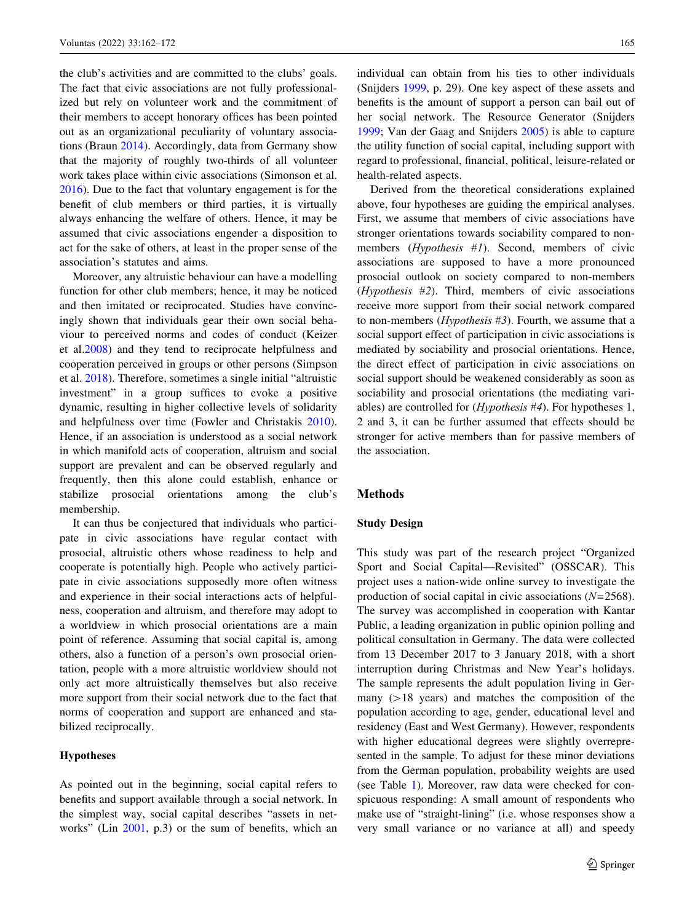the club's activities and are committed to the clubs' goals. The fact that civic associations are not fully professionalized but rely on volunteer work and the commitment of their members to accept honorary offices has been pointed out as an organizational peculiarity of voluntary associations (Braun [2014](#page-9-0)). Accordingly, data from Germany show that the majority of roughly two-thirds of all volunteer work takes place within civic associations (Simonson et al. [2016\)](#page-10-0). Due to the fact that voluntary engagement is for the benefit of club members or third parties, it is virtually always enhancing the welfare of others. Hence, it may be assumed that civic associations engender a disposition to act for the sake of others, at least in the proper sense of the association's statutes and aims.

Moreover, any altruistic behaviour can have a modelling function for other club members; hence, it may be noticed and then imitated or reciprocated. Studies have convincingly shown that individuals gear their own social behaviour to perceived norms and codes of conduct (Keizer et al.[2008\)](#page-9-0) and they tend to reciprocate helpfulness and cooperation perceived in groups or other persons (Simpson et al. [2018\)](#page-10-0). Therefore, sometimes a single initial "altruistic investment" in a group suffices to evoke a positive dynamic, resulting in higher collective levels of solidarity and helpfulness over time (Fowler and Christakis [2010](#page-9-0)). Hence, if an association is understood as a social network in which manifold acts of cooperation, altruism and social support are prevalent and can be observed regularly and frequently, then this alone could establish, enhance or stabilize prosocial orientations among the club's membership.

It can thus be conjectured that individuals who participate in civic associations have regular contact with prosocial, altruistic others whose readiness to help and cooperate is potentially high. People who actively participate in civic associations supposedly more often witness and experience in their social interactions acts of helpfulness, cooperation and altruism, and therefore may adopt to a worldview in which prosocial orientations are a main point of reference. Assuming that social capital is, among others, also a function of a person's own prosocial orientation, people with a more altruistic worldview should not only act more altruistically themselves but also receive more support from their social network due to the fact that norms of cooperation and support are enhanced and stabilized reciprocally.

## Hypotheses

As pointed out in the beginning, social capital refers to benefits and support available through a social network. In the simplest way, social capital describes "assets in networks" (Lin [2001](#page-10-0), p.3) or the sum of benefits, which an individual can obtain from his ties to other individuals (Snijders [1999,](#page-10-0) p. 29). One key aspect of these assets and benefits is the amount of support a person can bail out of her social network. The Resource Generator (Snijders [1999](#page-10-0); Van der Gaag and Snijders [2005\)](#page-10-0) is able to capture the utility function of social capital, including support with regard to professional, financial, political, leisure-related or health-related aspects.

Derived from the theoretical considerations explained above, four hypotheses are guiding the empirical analyses. First, we assume that members of civic associations have stronger orientations towards sociability compared to nonmembers (Hypothesis #1). Second, members of civic associations are supposed to have a more pronounced prosocial outlook on society compared to non-members (Hypothesis #2). Third, members of civic associations receive more support from their social network compared to non-members (Hypothesis #3). Fourth, we assume that a social support effect of participation in civic associations is mediated by sociability and prosocial orientations. Hence, the direct effect of participation in civic associations on social support should be weakened considerably as soon as sociability and prosocial orientations (the mediating variables) are controlled for (Hypothesis #4). For hypotheses 1, 2 and 3, it can be further assumed that effects should be stronger for active members than for passive members of the association.

### Methods

#### Study Design

This study was part of the research project "Organized Sport and Social Capital—Revisited" (OSSCAR). This project uses a nation-wide online survey to investigate the production of social capital in civic associations  $(N=2568)$ . The survey was accomplished in cooperation with Kantar Public, a leading organization in public opinion polling and political consultation in Germany. The data were collected from 13 December 2017 to 3 January 2018, with a short interruption during Christmas and New Year's holidays. The sample represents the adult population living in Germany  $(18 \text{ years})$  and matches the composition of the population according to age, gender, educational level and residency (East and West Germany). However, respondents with higher educational degrees were slightly overrepresented in the sample. To adjust for these minor deviations from the German population, probability weights are used (see Table [1](#page-4-0)). Moreover, raw data were checked for conspicuous responding: A small amount of respondents who make use of "straight-lining" (i.e. whose responses show a very small variance or no variance at all) and speedy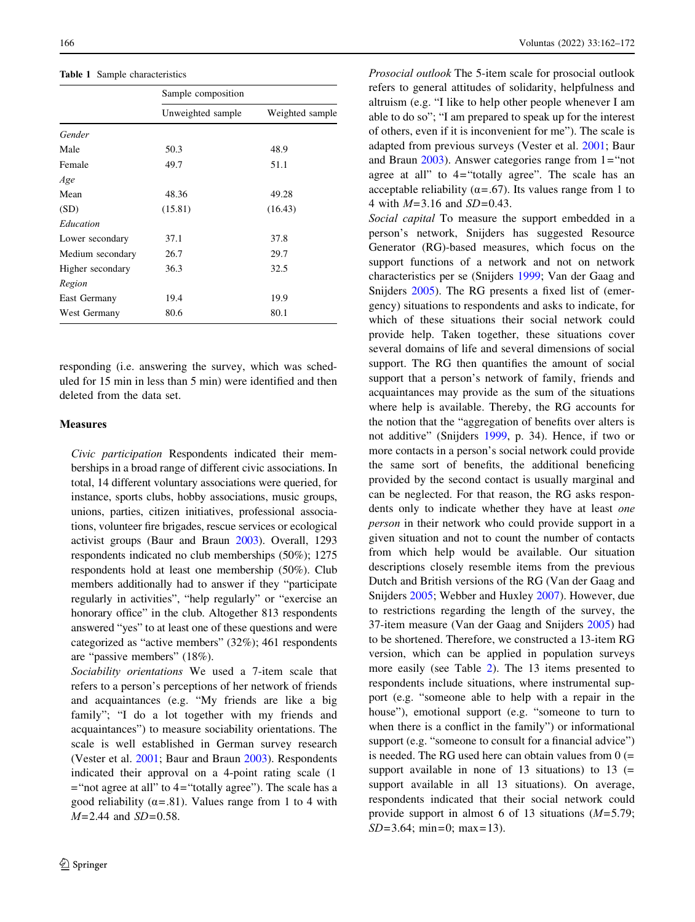<span id="page-4-0"></span>Table 1 Sample characteristics

|                  | Sample composition |                 |  |  |
|------------------|--------------------|-----------------|--|--|
|                  | Unweighted sample  | Weighted sample |  |  |
| Gender           |                    |                 |  |  |
| Male             | 50.3               | 48.9            |  |  |
| Female           | 49.7               | 51.1            |  |  |
| Age              |                    |                 |  |  |
| Mean             | 48.36              | 49.28           |  |  |
| (SD)             | (15.81)            | (16.43)         |  |  |
| Education        |                    |                 |  |  |
| Lower secondary  | 37.1               | 37.8            |  |  |
| Medium secondary | 26.7               | 29.7            |  |  |
| Higher secondary | 36.3               | 32.5            |  |  |
| Region           |                    |                 |  |  |
| East Germany     | 19.4               | 19.9            |  |  |
| West Germany     | 80.6               | 80.1            |  |  |

responding (i.e. answering the survey, which was scheduled for 15 min in less than 5 min) were identified and then deleted from the data set.

## **Measures**

Civic participation Respondents indicated their memberships in a broad range of different civic associations. In total, 14 different voluntary associations were queried, for instance, sports clubs, hobby associations, music groups, unions, parties, citizen initiatives, professional associations, volunteer fire brigades, rescue services or ecological activist groups (Baur and Braun [2003\)](#page-9-0). Overall, 1293 respondents indicated no club memberships (50%); 1275 respondents hold at least one membership (50%). Club members additionally had to answer if they "participate regularly in activities", "help regularly" or "exercise an honorary office" in the club. Altogether 813 respondents answered "yes" to at least one of these questions and were categorized as "active members" (32%); 461 respondents are "passive members" (18%).

Sociability orientations We used a 7-item scale that refers to a person's perceptions of her network of friends and acquaintances (e.g. "My friends are like a big family"; "I do a lot together with my friends and acquaintances") to measure sociability orientations. The scale is well established in German survey research (Vester et al. [2001](#page-10-0); Baur and Braun [2003](#page-9-0)). Respondents indicated their approval on a 4-point rating scale (1 ="not agree at all" to 4="totally agree"). The scale has a good reliability ( $\alpha$ =.81). Values range from 1 to 4 with  $M=2.44$  and  $SD=0.58$ .

Prosocial outlook The 5-item scale for prosocial outlook refers to general attitudes of solidarity, helpfulness and altruism (e.g. "I like to help other people whenever I am able to do so"; "I am prepared to speak up for the interest of others, even if it is inconvenient for me"). The scale is adapted from previous surveys (Vester et al. [2001](#page-10-0); Baur and Braun  $2003$ ). Answer categories range from  $1 =$ "not agree at all" to  $4=$ "totally agree". The scale has an acceptable reliability ( $\alpha$ =.67). Its values range from 1 to 4 with  $M=3.16$  and  $SD=0.43$ .

Social capital To measure the support embedded in a person's network, Snijders has suggested Resource Generator (RG)-based measures, which focus on the support functions of a network and not on network characteristics per se (Snijders [1999;](#page-10-0) Van der Gaag and Snijders [2005\)](#page-10-0). The RG presents a fixed list of (emergency) situations to respondents and asks to indicate, for which of these situations their social network could provide help. Taken together, these situations cover several domains of life and several dimensions of social support. The RG then quantifies the amount of social support that a person's network of family, friends and acquaintances may provide as the sum of the situations where help is available. Thereby, the RG accounts for the notion that the "aggregation of benefits over alters is not additive" (Snijders [1999,](#page-10-0) p. 34). Hence, if two or more contacts in a person's social network could provide the same sort of benefits, the additional beneficing provided by the second contact is usually marginal and can be neglected. For that reason, the RG asks respondents only to indicate whether they have at least one person in their network who could provide support in a given situation and not to count the number of contacts from which help would be available. Our situation descriptions closely resemble items from the previous Dutch and British versions of the RG (Van der Gaag and Snijders [2005](#page-10-0); Webber and Huxley [2007\)](#page-10-0). However, due to restrictions regarding the length of the survey, the 37-item measure (Van der Gaag and Snijders [2005](#page-10-0)) had to be shortened. Therefore, we constructed a 13-item RG version, which can be applied in population surveys more easily (see Table [2](#page-5-0)). The 13 items presented to respondents include situations, where instrumental support (e.g. "someone able to help with a repair in the house"), emotional support (e.g. "someone to turn to when there is a conflict in the family") or informational support (e.g. "someone to consult for a financial advice") is needed. The RG used here can obtain values from  $0 (=$ support available in none of 13 situations) to 13  $(=$ support available in all 13 situations). On average, respondents indicated that their social network could provide support in almost 6 of 13 situations  $(M=5.79)$ ;  $SD = 3.64$ ; min=0; max=13).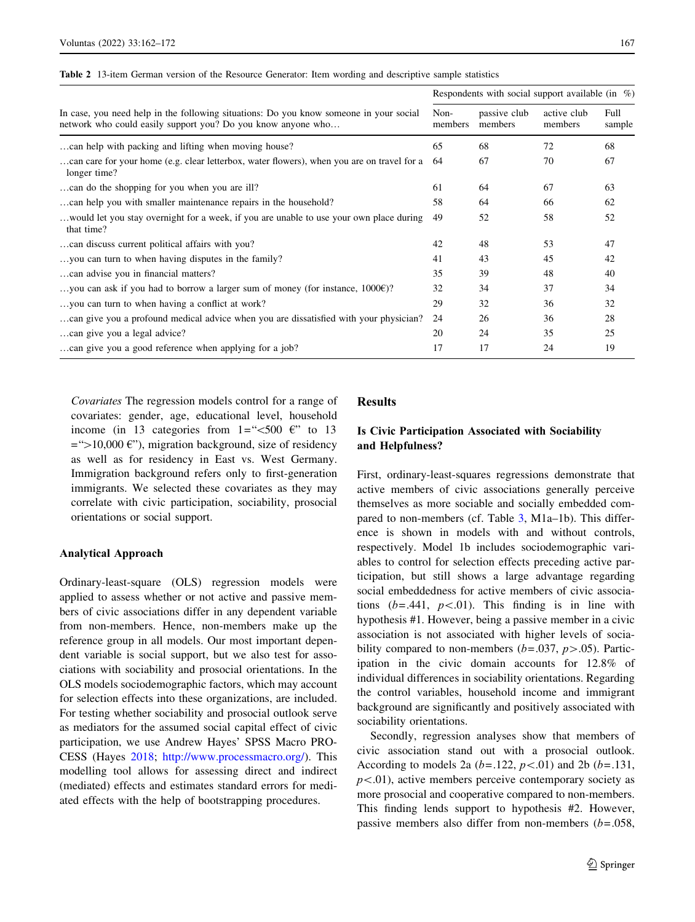<span id="page-5-0"></span>Voluntas (2022) 33:162–172 167

Table 2 13-item German version of the Resource Generator: Item wording and descriptive sample statistics

| In case, you need help in the following situations: Do you know someone in your social<br>network who could easily support you? Do you know anyone who |    | Respondents with social support available (in $\%$ ) |                        |                |  |
|--------------------------------------------------------------------------------------------------------------------------------------------------------|----|------------------------------------------------------|------------------------|----------------|--|
|                                                                                                                                                        |    | passive club<br>members                              | active club<br>members | Full<br>sample |  |
| can help with packing and lifting when moving house?                                                                                                   | 65 | 68                                                   | 72                     | 68             |  |
| can care for your home (e.g. clear letterbox, water flowers), when you are on travel for a<br>longer time?                                             | 64 | 67                                                   | 70                     | 67             |  |
| can do the shopping for you when you are ill?                                                                                                          | 61 | 64                                                   | 67                     | 63             |  |
| can help you with smaller maintenance repairs in the household?                                                                                        | 58 | 64                                                   | 66                     | 62             |  |
| would let you stay overnight for a week, if you are unable to use your own place during<br>that time?                                                  |    | 52                                                   | 58                     | 52             |  |
| can discuss current political affairs with you?                                                                                                        | 42 | 48                                                   | 53                     | 47             |  |
| you can turn to when having disputes in the family?                                                                                                    |    | 43                                                   | 45                     | 42             |  |
| can advise you in financial matters?                                                                                                                   |    | 39                                                   | 48                     | 40             |  |
| you can ask if you had to borrow a larger sum of money (for instance, $1000 \infty$ )?                                                                 |    | 34                                                   | 37                     | 34             |  |
| you can turn to when having a conflict at work?                                                                                                        | 29 | 32                                                   | 36                     | 32             |  |
| can give you a profound medical advice when you are dissatisfied with your physician?                                                                  |    | 26                                                   | 36                     | 28             |  |
| can give you a legal advice?                                                                                                                           | 20 | 24                                                   | 35                     | 25             |  |
| can give you a good reference when applying for a job?                                                                                                 | 17 | 17                                                   | 24                     | 19             |  |

Covariates The regression models control for a range of covariates: gender, age, educational level, household income (in 13 categories from  $1 = \frac{1}{500}$  €" to 13  $=$ ">10,000 €"), migration background, size of residency as well as for residency in East vs. West Germany. Immigration background refers only to first-generation immigrants. We selected these covariates as they may correlate with civic participation, sociability, prosocial orientations or social support.

#### Analytical Approach

Ordinary-least-square (OLS) regression models were applied to assess whether or not active and passive members of civic associations differ in any dependent variable from non-members. Hence, non-members make up the reference group in all models. Our most important dependent variable is social support, but we also test for associations with sociability and prosocial orientations. In the OLS models sociodemographic factors, which may account for selection effects into these organizations, are included. For testing whether sociability and prosocial outlook serve as mediators for the assumed social capital effect of civic participation, we use Andrew Hayes' SPSS Macro PRO-CESS (Hayes [2018](#page-9-0); <http://www.processmacro.org/>). This modelling tool allows for assessing direct and indirect (mediated) effects and estimates standard errors for mediated effects with the help of bootstrapping procedures.

# Results

## Is Civic Participation Associated with Sociability and Helpfulness?

First, ordinary-least-squares regressions demonstrate that active members of civic associations generally perceive themselves as more sociable and socially embedded compared to non-members (cf. Table [3](#page-6-0), M1a–1b). This difference is shown in models with and without controls, respectively. Model 1b includes sociodemographic variables to control for selection effects preceding active participation, but still shows a large advantage regarding social embeddedness for active members of civic associations  $(b=.441, p<.01)$ . This finding is in line with hypothesis #1. However, being a passive member in a civic association is not associated with higher levels of sociability compared to non-members ( $b = .037$ ,  $p > .05$ ). Participation in the civic domain accounts for 12.8% of individual differences in sociability orientations. Regarding the control variables, household income and immigrant background are significantly and positively associated with sociability orientations.

Secondly, regression analyses show that members of civic association stand out with a prosocial outlook. According to models 2a  $(b=.122, p<.01)$  and 2b  $(b=.131,$  $p<.01$ ), active members perceive contemporary society as more prosocial and cooperative compared to non-members. This finding lends support to hypothesis #2. However, passive members also differ from non-members  $(b=.058)$ ,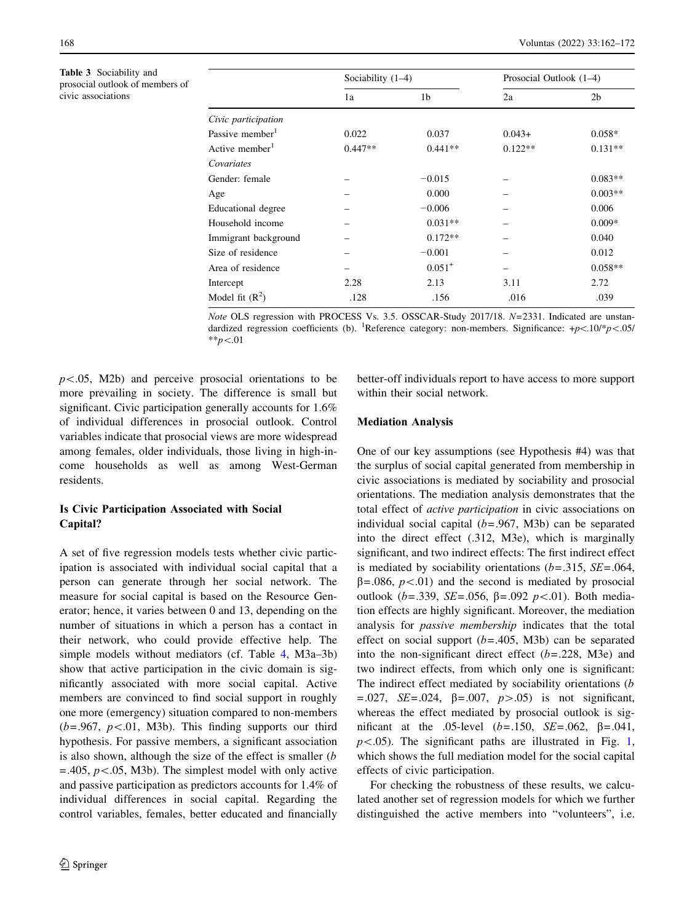<span id="page-6-0"></span>Table 3 Sociability and prosocial outlook of members of civic associations

| 1 <sub>b</sub><br>1a<br>Civic participation<br>Passive member <sup>1</sup><br>0.022<br>0.037 | 2a<br>$0.043+$<br>$0.122**$ | 2 <sub>b</sub><br>$0.058*$ |
|----------------------------------------------------------------------------------------------|-----------------------------|----------------------------|
|                                                                                              |                             |                            |
|                                                                                              |                             |                            |
|                                                                                              |                             |                            |
| Active member <sup>1</sup><br>$0.447**$<br>$0.441**$                                         |                             | $0.131**$                  |
| Covariates                                                                                   |                             |                            |
| Gender: female<br>$-0.015$                                                                   |                             | $0.083**$                  |
| 0.000<br>Age                                                                                 |                             | $0.003**$                  |
| $-0.006$<br><b>Educational</b> degree                                                        |                             | 0.006                      |
| $0.031**$<br>Household income                                                                |                             | $0.009*$                   |
| $0.172**$<br>Immigrant background                                                            |                             | 0.040                      |
| Size of residence<br>$-0.001$                                                                |                             | 0.012                      |
| $0.051^{+}$<br>Area of residence                                                             |                             | $0.058**$                  |
| 2.28<br>2.13<br>Intercept                                                                    | 3.11                        | 2.72                       |
| Model fit $(R^2)$<br>.128<br>.156                                                            | .016                        | .039                       |

Note OLS regression with PROCESS Vs. 3.5. OSSCAR-Study 2017/18. N=2331. Indicated are unstandardized regression coefficients (b). <sup>1</sup>Reference category: non-members. Significance: +p<.10/\*p<.05/ \*\* $p<.01$ 

 $p<.05$ , M2b) and perceive prosocial orientations to be more prevailing in society. The difference is small but significant. Civic participation generally accounts for 1.6% of individual differences in prosocial outlook. Control variables indicate that prosocial views are more widespread among females, older individuals, those living in high-income households as well as among West-German residents.

## Is Civic Participation Associated with Social Capital?

A set of five regression models tests whether civic participation is associated with individual social capital that a person can generate through her social network. The measure for social capital is based on the Resource Generator; hence, it varies between 0 and 13, depending on the number of situations in which a person has a contact in their network, who could provide effective help. The simple models without mediators (cf. Table [4](#page-7-0), M3a–3b) show that active participation in the civic domain is significantly associated with more social capital. Active members are convinced to find social support in roughly one more (emergency) situation compared to non-members  $(b=.967, p<.01, M3b)$ . This finding supports our third hypothesis. For passive members, a significant association is also shown, although the size of the effect is smaller  $(b)$  $=$ .405, p $<$ .05, M3b). The simplest model with only active and passive participation as predictors accounts for 1.4% of individual differences in social capital. Regarding the control variables, females, better educated and financially better-off individuals report to have access to more support within their social network.

### Mediation Analysis

One of our key assumptions (see Hypothesis #4) was that the surplus of social capital generated from membership in civic associations is mediated by sociability and prosocial orientations. The mediation analysis demonstrates that the total effect of active participation in civic associations on individual social capital  $(b=.967, M3b)$  can be separated into the direct effect (.312, M3e), which is marginally significant, and two indirect effects: The first indirect effect is mediated by sociability orientations  $(b=.315, SE=.064,$  $β = .086, p < .01)$  and the second is mediated by prosocial outlook (b=.339, SE=.056, β=.092 p <.01). Both mediation effects are highly significant. Moreover, the mediation analysis for passive membership indicates that the total effect on social support  $(b=.405, M3b)$  can be separated into the non-significant direct effect  $(b=.228, M3e)$  and two indirect effects, from which only one is significant: The indirect effect mediated by sociability orientations (b) =.027, SE=.024, β=.007,  $p$ >.05) is not significant, whereas the effect mediated by prosocial outlook is significant at the .05-level (b=.150, SE=.062, β=.041,  $p$ <.05). The significant paths are illustrated in Fig. [1,](#page-7-0) which shows the full mediation model for the social capital effects of civic participation.

For checking the robustness of these results, we calculated another set of regression models for which we further distinguished the active members into "volunteers", i.e.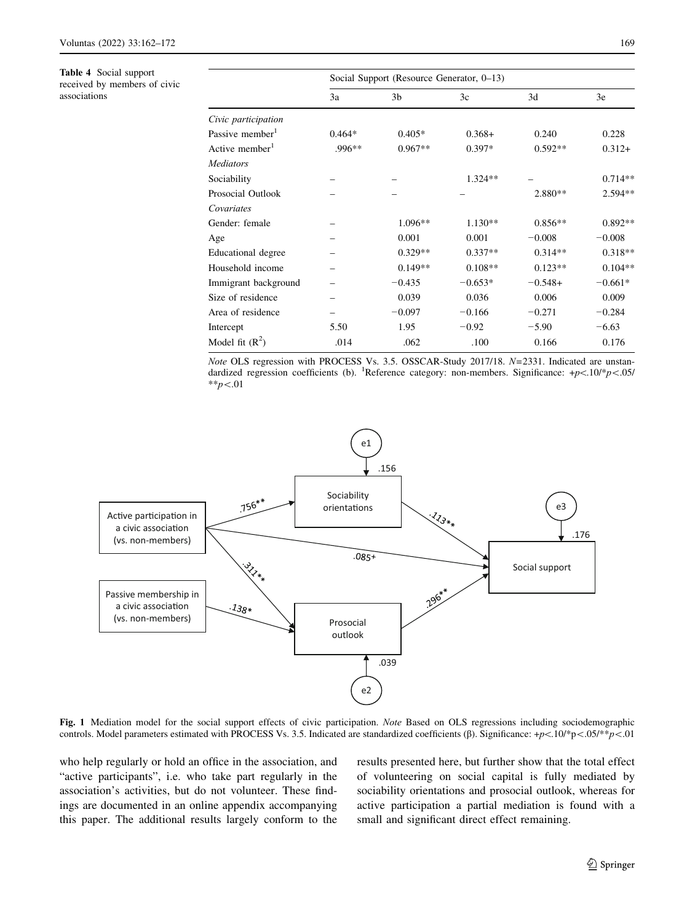<span id="page-7-0"></span>Table 4 Social support received by members of civic associations

|                             | Social Support (Resource Generator, 0–13) |                |           |           |           |  |  |
|-----------------------------|-------------------------------------------|----------------|-----------|-----------|-----------|--|--|
|                             | 3a                                        | 3 <sub>b</sub> | 3c        | 3d        | 3e        |  |  |
| Civic participation         |                                           |                |           |           |           |  |  |
| Passive member <sup>1</sup> | $0.464*$                                  | $0.405*$       | $0.368+$  | 0.240     | 0.228     |  |  |
| Active member <sup>1</sup>  | .996**                                    | $0.967**$      | $0.397*$  | $0.592**$ | $0.312+$  |  |  |
| Mediators                   |                                           |                |           |           |           |  |  |
| Sociability                 |                                           |                | 1.324**   |           | $0.714**$ |  |  |
| Prosocial Outlook           |                                           |                |           | $2.880**$ | $2.594**$ |  |  |
| Covariates                  |                                           |                |           |           |           |  |  |
| Gender: female              |                                           | 1.096**        | $1.130**$ | $0.856**$ | $0.892**$ |  |  |
| Age                         |                                           | 0.001          | 0.001     | $-0.008$  | $-0.008$  |  |  |
| <b>Educational degree</b>   |                                           | $0.329**$      | $0.337**$ | $0.314**$ | $0.318**$ |  |  |
| Household income            |                                           | $0.149**$      | $0.108**$ | $0.123**$ | $0.104**$ |  |  |
| Immigrant background        |                                           | $-0.435$       | $-0.653*$ | $-0.548+$ | $-0.661*$ |  |  |
| Size of residence           |                                           | 0.039          | 0.036     | 0.006     | 0.009     |  |  |
| Area of residence           |                                           | $-0.097$       | $-0.166$  | $-0.271$  | $-0.284$  |  |  |
| Intercept                   | 5.50                                      | 1.95           | $-0.92$   | $-5.90$   | $-6.63$   |  |  |
| Model fit $(R^2)$           | .014                                      | .062           | .100      | 0.166     | 0.176     |  |  |

Note OLS regression with PROCESS Vs. 3.5. OSSCAR-Study 2017/18. N=2331. Indicated are unstandardized regression coefficients (b). <sup>1</sup>Reference category: non-members. Significance: +p<.10/\*p<.05/  $* p < .01$ 



Fig. 1 Mediation model for the social support effects of civic participation. Note Based on OLS regressions including sociodemographic controls. Model parameters estimated with PROCESS Vs. 3.5. Indicated are standardized coefficients (β). Significance: +p<.10/\*p<.05/\*\*p<.01

who help regularly or hold an office in the association, and "active participants", i.e. who take part regularly in the association's activities, but do not volunteer. These findings are documented in an online appendix accompanying this paper. The additional results largely conform to the results presented here, but further show that the total effect of volunteering on social capital is fully mediated by sociability orientations and prosocial outlook, whereas for active participation a partial mediation is found with a small and significant direct effect remaining.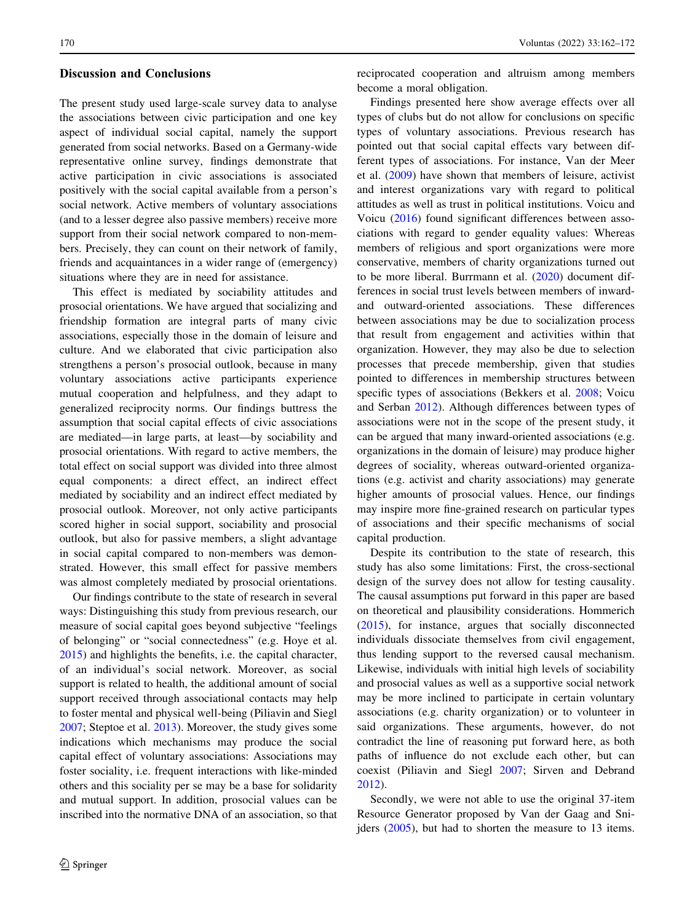#### Discussion and Conclusions

The present study used large-scale survey data to analyse the associations between civic participation and one key aspect of individual social capital, namely the support generated from social networks. Based on a Germany-wide representative online survey, findings demonstrate that active participation in civic associations is associated positively with the social capital available from a person's social network. Active members of voluntary associations (and to a lesser degree also passive members) receive more support from their social network compared to non-members. Precisely, they can count on their network of family, friends and acquaintances in a wider range of (emergency) situations where they are in need for assistance.

This effect is mediated by sociability attitudes and prosocial orientations. We have argued that socializing and friendship formation are integral parts of many civic associations, especially those in the domain of leisure and culture. And we elaborated that civic participation also strengthens a person's prosocial outlook, because in many voluntary associations active participants experience mutual cooperation and helpfulness, and they adapt to generalized reciprocity norms. Our findings buttress the assumption that social capital effects of civic associations are mediated—in large parts, at least—by sociability and prosocial orientations. With regard to active members, the total effect on social support was divided into three almost equal components: a direct effect, an indirect effect mediated by sociability and an indirect effect mediated by prosocial outlook. Moreover, not only active participants scored higher in social support, sociability and prosocial outlook, but also for passive members, a slight advantage in social capital compared to non-members was demonstrated. However, this small effect for passive members was almost completely mediated by prosocial orientations.

Our findings contribute to the state of research in several ways: Distinguishing this study from previous research, our measure of social capital goes beyond subjective "feelings of belonging" or "social connectedness" (e.g. Hoye et al. [2015\)](#page-9-0) and highlights the benefits, i.e. the capital character, of an individual's social network. Moreover, as social support is related to health, the additional amount of social support received through associational contacts may help to foster mental and physical well-being (Piliavin and Siegl [2007;](#page-10-0) Steptoe et al. [2013\)](#page-10-0). Moreover, the study gives some indications which mechanisms may produce the social capital effect of voluntary associations: Associations may foster sociality, i.e. frequent interactions with like-minded others and this sociality per se may be a base for solidarity and mutual support. In addition, prosocial values can be inscribed into the normative DNA of an association, so that reciprocated cooperation and altruism among members become a moral obligation.

Findings presented here show average effects over all types of clubs but do not allow for conclusions on specific types of voluntary associations. Previous research has pointed out that social capital effects vary between different types of associations. For instance, Van der Meer et al. [\(2009](#page-10-0)) have shown that members of leisure, activist and interest organizations vary with regard to political attitudes as well as trust in political institutions. Voicu and Voicu ([2016\)](#page-10-0) found significant differences between associations with regard to gender equality values: Whereas members of religious and sport organizations were more conservative, members of charity organizations turned out to be more liberal. Burrmann et al. [\(2020](#page-9-0)) document differences in social trust levels between members of inwardand outward-oriented associations. These differences between associations may be due to socialization process that result from engagement and activities within that organization. However, they may also be due to selection processes that precede membership, given that studies pointed to differences in membership structures between specific types of associations (Bekkers et al. [2008](#page-9-0); Voicu and Serban [2012](#page-10-0)). Although differences between types of associations were not in the scope of the present study, it can be argued that many inward-oriented associations (e.g. organizations in the domain of leisure) may produce higher degrees of sociality, whereas outward-oriented organizations (e.g. activist and charity associations) may generate higher amounts of prosocial values. Hence, our findings may inspire more fine-grained research on particular types of associations and their specific mechanisms of social capital production.

Despite its contribution to the state of research, this study has also some limitations: First, the cross-sectional design of the survey does not allow for testing causality. The causal assumptions put forward in this paper are based on theoretical and plausibility considerations. Hommerich [\(2015](#page-9-0)), for instance, argues that socially disconnected individuals dissociate themselves from civil engagement, thus lending support to the reversed causal mechanism. Likewise, individuals with initial high levels of sociability and prosocial values as well as a supportive social network may be more inclined to participate in certain voluntary associations (e.g. charity organization) or to volunteer in said organizations. These arguments, however, do not contradict the line of reasoning put forward here, as both paths of influence do not exclude each other, but can coexist (Piliavin and Siegl [2007](#page-10-0); Sirven and Debrand [2012](#page-10-0)).

Secondly, we were not able to use the original 37-item Resource Generator proposed by Van der Gaag and Snijders ([2005\)](#page-10-0), but had to shorten the measure to 13 items.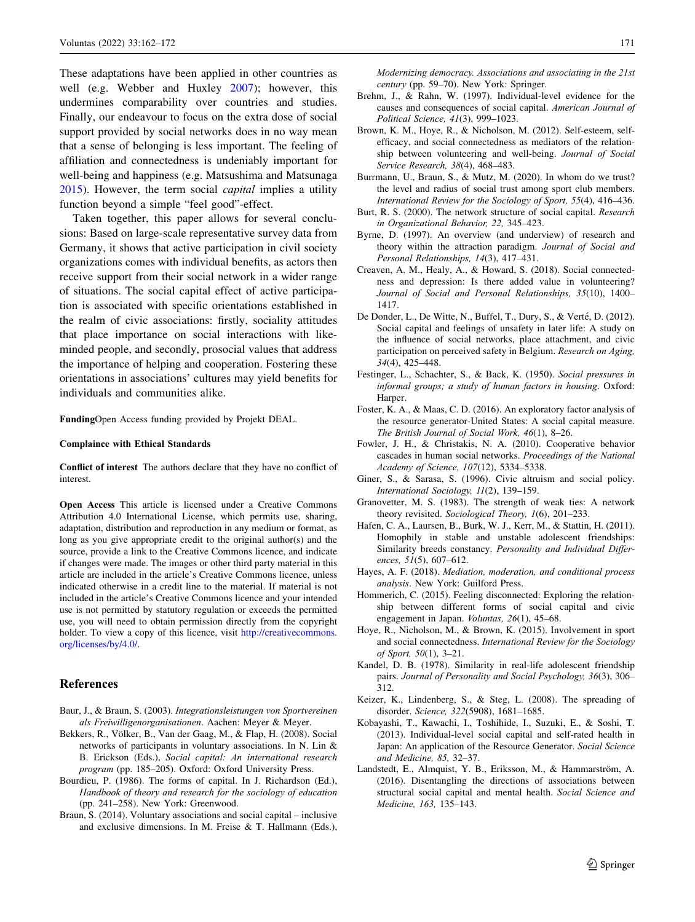<span id="page-9-0"></span>These adaptations have been applied in other countries as well (e.g. Webber and Huxley [2007](#page-10-0)); however, this undermines comparability over countries and studies. Finally, our endeavour to focus on the extra dose of social support provided by social networks does in no way mean that a sense of belonging is less important. The feeling of affiliation and connectedness is undeniably important for well-being and happiness (e.g. Matsushima and Matsunaga [2015\)](#page-10-0). However, the term social capital implies a utility function beyond a simple "feel good"-effect.

Taken together, this paper allows for several conclusions: Based on large-scale representative survey data from Germany, it shows that active participation in civil society organizations comes with individual benefits, as actors then receive support from their social network in a wider range of situations. The social capital effect of active participation is associated with specific orientations established in the realm of civic associations: firstly, sociality attitudes that place importance on social interactions with likeminded people, and secondly, prosocial values that address the importance of helping and cooperation. Fostering these orientations in associations' cultures may yield benefits for individuals and communities alike.

FundingOpen Access funding provided by Projekt DEAL.

#### Complaince with Ethical Standards

Conflict of interest The authors declare that they have no conflict of interest.

Open Access This article is licensed under a Creative Commons Attribution 4.0 International License, which permits use, sharing, adaptation, distribution and reproduction in any medium or format, as long as you give appropriate credit to the original author(s) and the source, provide a link to the Creative Commons licence, and indicate if changes were made. The images or other third party material in this article are included in the article's Creative Commons licence, unless indicated otherwise in a credit line to the material. If material is not included in the article's Creative Commons licence and your intended use is not permitted by statutory regulation or exceeds the permitted use, you will need to obtain permission directly from the copyright holder. To view a copy of this licence, visit [http://creativecommons.](http://creativecommons.org/licenses/by/4.0/) [org/licenses/by/4.0/.](http://creativecommons.org/licenses/by/4.0/)

#### References

- Baur, J., & Braun, S. (2003). Integrationsleistungen von Sportvereinen als Freiwilligenorganisationen. Aachen: Meyer & Meyer.
- Bekkers, R., Völker, B., Van der Gaag, M., & Flap, H. (2008). Social networks of participants in voluntary associations. In N. Lin & B. Erickson (Eds.), Social capital: An international research program (pp. 185–205). Oxford: Oxford University Press.
- Bourdieu, P. (1986). The forms of capital. In J. Richardson (Ed.), Handbook of theory and research for the sociology of education (pp. 241–258). New York: Greenwood.
- Braun, S. (2014). Voluntary associations and social capital inclusive and exclusive dimensions. In M. Freise & T. Hallmann (Eds.),

Modernizing democracy. Associations and associating in the 21st century (pp. 59–70). New York: Springer.

- Brehm, J., & Rahn, W. (1997). Individual-level evidence for the causes and consequences of social capital. American Journal of Political Science, 41(3), 999–1023.
- Brown, K. M., Hoye, R., & Nicholson, M. (2012). Self-esteem, selfefficacy, and social connectedness as mediators of the relationship between volunteering and well-being. Journal of Social Service Research, 38(4), 468–483.
- Burrmann, U., Braun, S., & Mutz, M. (2020). In whom do we trust? the level and radius of social trust among sport club members. International Review for the Sociology of Sport, 55(4), 416–436.
- Burt, R. S. (2000). The network structure of social capital. Research in Organizational Behavior, 22, 345–423.
- Byrne, D. (1997). An overview (and underview) of research and theory within the attraction paradigm. Journal of Social and Personal Relationships, 14(3), 417–431.
- Creaven, A. M., Healy, A., & Howard, S. (2018). Social connectedness and depression: Is there added value in volunteering? Journal of Social and Personal Relationships, 35(10), 1400– 1417.
- De Donder, L., De Witte, N., Buffel, T., Dury, S., & Verté, D. (2012). Social capital and feelings of unsafety in later life: A study on the influence of social networks, place attachment, and civic participation on perceived safety in Belgium. Research on Aging, 34(4), 425–448.
- Festinger, L., Schachter, S., & Back, K. (1950). Social pressures in informal groups; a study of human factors in housing. Oxford: Harper.
- Foster, K. A., & Maas, C. D. (2016). An exploratory factor analysis of the resource generator-United States: A social capital measure. The British Journal of Social Work, 46(1), 8–26.
- Fowler, J. H., & Christakis, N. A. (2010). Cooperative behavior cascades in human social networks. Proceedings of the National Academy of Science, 107(12), 5334–5338.
- Giner, S., & Sarasa, S. (1996). Civic altruism and social policy. International Sociology, 11(2), 139–159.
- Granovetter, M. S. (1983). The strength of weak ties: A network theory revisited. Sociological Theory, 1(6), 201–233.
- Hafen, C. A., Laursen, B., Burk, W. J., Kerr, M., & Stattin, H. (2011). Homophily in stable and unstable adolescent friendships: Similarity breeds constancy. Personality and Individual Differences, 51(5), 607–612.
- Hayes, A. F. (2018). Mediation, moderation, and conditional process analysis. New York: Guilford Press.
- Hommerich, C. (2015). Feeling disconnected: Exploring the relationship between different forms of social capital and civic engagement in Japan. Voluntas, 26(1), 45–68.
- Hoye, R., Nicholson, M., & Brown, K. (2015). Involvement in sport and social connectedness. International Review for the Sociology of Sport, 50(1), 3–21.
- Kandel, D. B. (1978). Similarity in real-life adolescent friendship pairs. Journal of Personality and Social Psychology, 36(3), 306– 312.
- Keizer, K., Lindenberg, S., & Steg, L. (2008). The spreading of disorder. Science, 322(5908), 1681–1685.
- Kobayashi, T., Kawachi, I., Toshihide, I., Suzuki, E., & Soshi, T. (2013). Individual-level social capital and self-rated health in Japan: An application of the Resource Generator. Social Science and Medicine, 85, 32–37.
- Landstedt, E., Almquist, Y. B., Eriksson, M., & Hammarström, A. (2016). Disentangling the directions of associations between structural social capital and mental health. Social Science and Medicine, 163, 135–143.